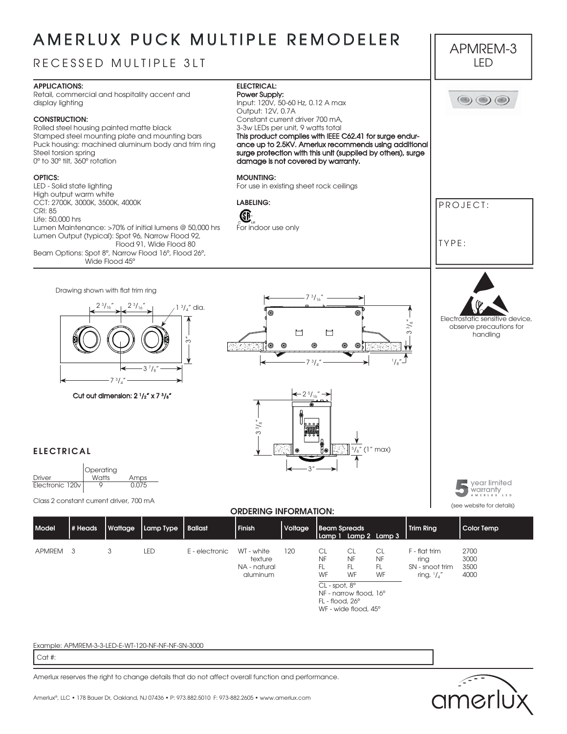# AMERLUX PUCK MULTIPLE REMODELER

### RECESSED MULTIPLE 3LT



Retail, commercial and hospitality accent and display lighting

#### **CONSTRUCTION:**

Rolled steel housing painted matte black Stamped steel mounting plate and mounting bars Puck housing: machined aluminum body and trim ring Steel torsion spring 0º to 30º tilt, 360º rotation

#### **OPTICS:**

LED - Solid state lighting High output warm white CCT: 2700K, 3000K, 3500K, 4000K CRI: 85 Life: 50,000 hrs Lumen Maintenance: >70% of initial lumens @ 50,000 hrs Lumen Output (typical): Spot 96, Narrow Flood 92, Flood 91, Wide Flood 80 Beam Options: Spot 8º, Narrow Flood 16º, Flood 26º, Wide Flood 45º



#### **MOUNTING:**

For indoor use only

For use in existing sheet rock ceilings

**LABELING:**

Œ

Drawing shown with flat trim ring 2 3  $/_{16}$ "  $1 \frac{3}{4}$ " dia.  $^{\circ}$  $\sim$ া'⊚ 3 7  $/_{8}$ "  $7 \frac{3}{4}$ Cut out dimension:  $2 \frac{1}{2}$  x 7  $\frac{3}{8}$ 



3"



PROJECT:

TYPE:

APMREM-3 LED

 $\textcircled{\scriptsize{0}}$   $\textcircled{\scriptsize{1}}$ 

**5**vear limited warranty

(see website for details)

### **ELECTRICAL**



2 3  $/$  16"

Class 2 constant current driver, 700 mA

#### **ORDERING INFORMATION:**

| <b>Model</b> | # Heads | Wattage | Lamp Type  | <b>Ballast</b> | Finish                                            | Voltage | <b>Beam Spreads</b>                                                                 |                                                                                | Lamp 1 Lamp 2 Lamp 3  | <b>Trim Ring</b>                                            | Color Temp                   |
|--------------|---------|---------|------------|----------------|---------------------------------------------------|---------|-------------------------------------------------------------------------------------|--------------------------------------------------------------------------------|-----------------------|-------------------------------------------------------------|------------------------------|
| APMREM 3     |         | 3       | <b>LED</b> | E - electronic | WT - white<br>texture<br>NA - natural<br>aluminum | 120     | CL<br><b>NF</b><br>FL<br>WF<br>$CL$ - spot, $8^{\circ}$<br>$FL$ - flood, $26^\circ$ | CL<br><b>NF</b><br>FL.<br>WF<br>NF - narrow flood, 16°<br>WF - wide flood, 45° | CL<br>NF.<br>FL<br>WF | $F - flat$ trim<br>ring<br>SN - snoot trim<br>ring, $1/x''$ | 2700<br>3000<br>3500<br>4000 |

#### Example: APMREM-3-3-LED-E-WT-120-NF-NF-NF-SN-3000

Cat #:

Amerlux reserves the right to change details that do not affect overall function and performance.